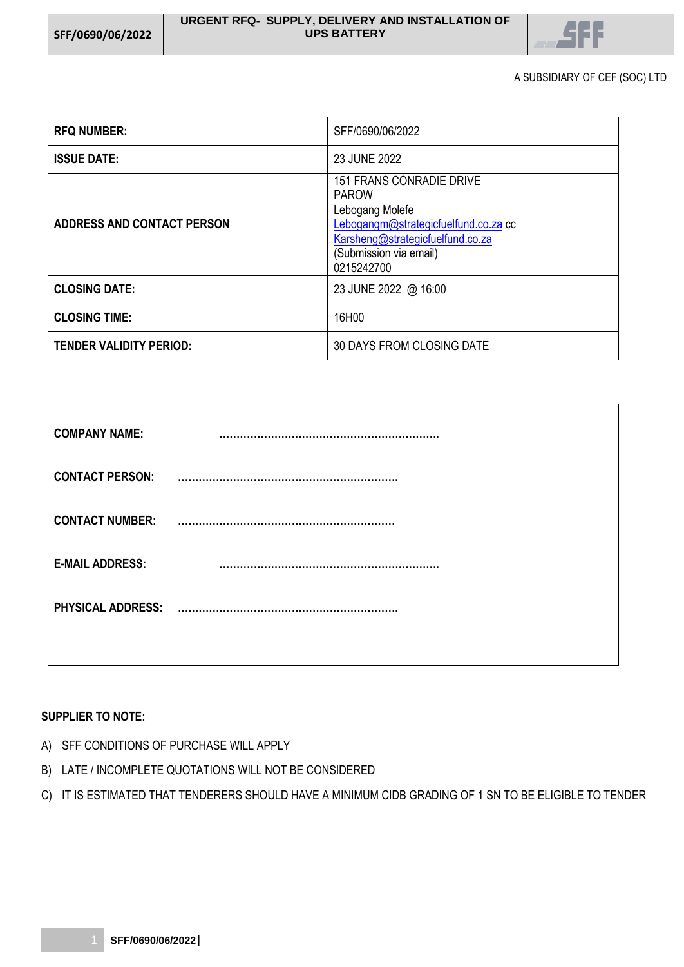

A SUBSIDIARY OF CEF (SOC) LTD

| <b>RFQ NUMBER:</b>                | SFF/0690/06/2022                                                                                                                                                                       |  |
|-----------------------------------|----------------------------------------------------------------------------------------------------------------------------------------------------------------------------------------|--|
| <b>ISSUE DATE:</b>                | 23 JUNE 2022                                                                                                                                                                           |  |
| <b>ADDRESS AND CONTACT PERSON</b> | <b>151 FRANS CONRADIE DRIVE</b><br><b>PAROW</b><br>Lebogang Molefe<br>Lebogangm@strategicfuelfund.co.za cc<br>Karsheng@strategicfuelfund.co.za<br>(Submission via email)<br>0215242700 |  |
| <b>CLOSING DATE:</b>              | 23 JUNE 2022 @ 16:00                                                                                                                                                                   |  |
| <b>CLOSING TIME:</b>              | 16H00                                                                                                                                                                                  |  |
| <b>TENDER VALIDITY PERIOD:</b>    | 30 DAYS FROM CLOSING DATE                                                                                                                                                              |  |

| <b>COMPANY NAME:</b>     |  |
|--------------------------|--|
| <b>CONTACT PERSON:</b>   |  |
| <b>CONTACT NUMBER:</b>   |  |
| <b>E-MAIL ADDRESS:</b>   |  |
| <b>PHYSICAL ADDRESS:</b> |  |
|                          |  |

## **SUPPLIER TO NOTE:**

- A) SFF CONDITIONS OF PURCHASE WILL APPLY
- B) LATE / INCOMPLETE QUOTATIONS WILL NOT BE CONSIDERED
- C) IT IS ESTIMATED THAT TENDERERS SHOULD HAVE A MINIMUM CIDB GRADING OF 1 SN TO BE ELIGIBLE TO TENDER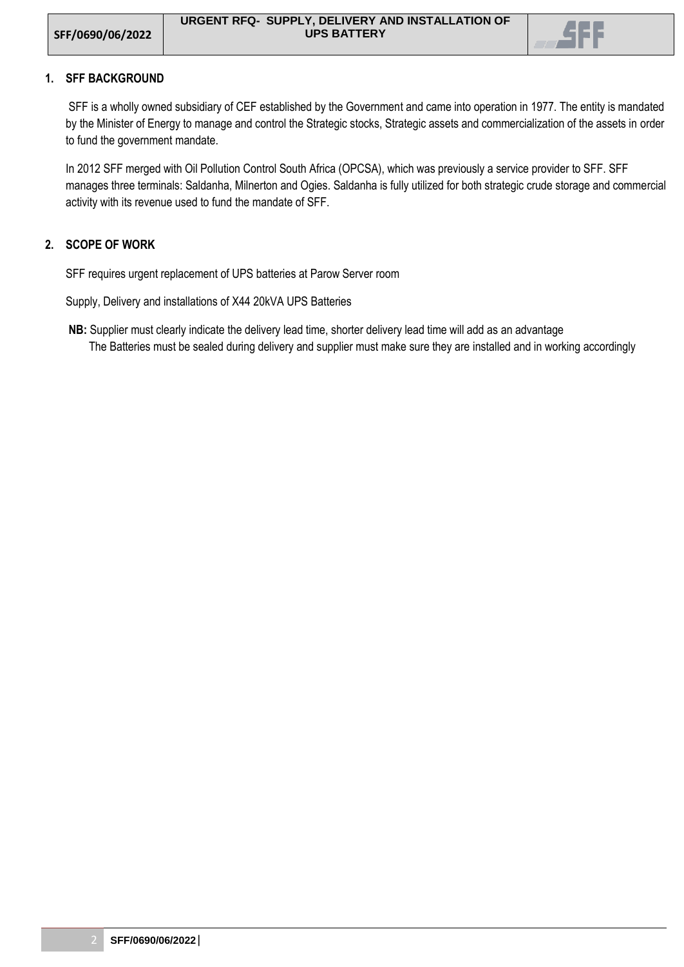

## **1. SFF BACKGROUND**

SFF is a wholly owned subsidiary of CEF established by the Government and came into operation in 1977. The entity is mandated by the Minister of Energy to manage and control the Strategic stocks, Strategic assets and commercialization of the assets in order to fund the government mandate.

In 2012 SFF merged with Oil Pollution Control South Africa (OPCSA), which was previously a service provider to SFF. SFF manages three terminals: Saldanha, Milnerton and Ogies. Saldanha is fully utilized for both strategic crude storage and commercial activity with its revenue used to fund the mandate of SFF.

## **2. SCOPE OF WORK**

SFF requires urgent replacement of UPS batteries at Parow Server room

Supply, Delivery and installations of X44 20kVA UPS Batteries

**NB:** Supplier must clearly indicate the delivery lead time, shorter delivery lead time will add as an advantage The Batteries must be sealed during delivery and supplier must make sure they are installed and in working accordingly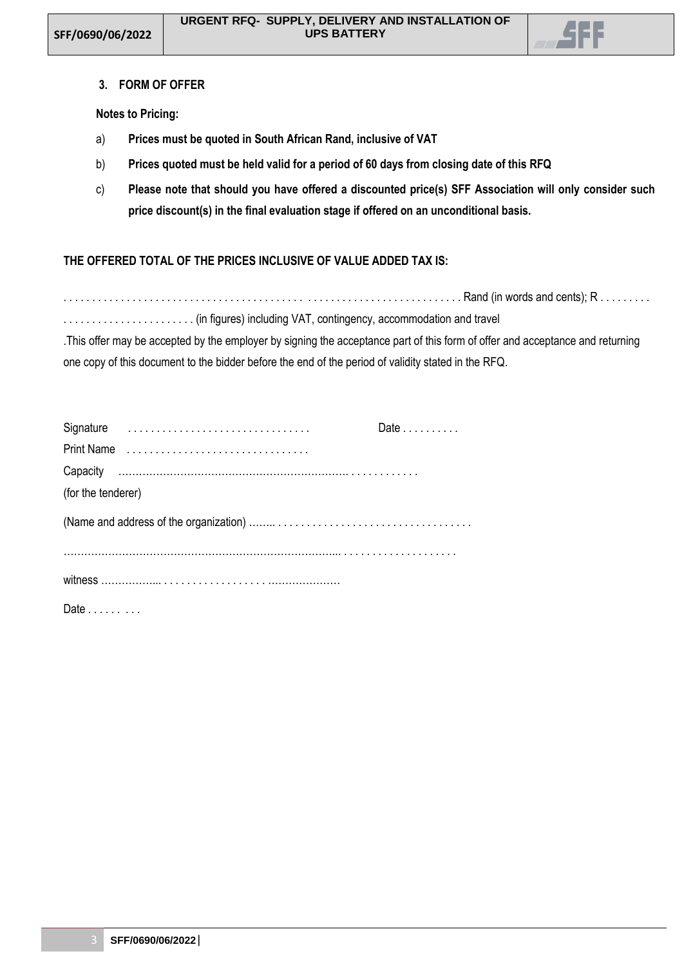

### **3. FORM OF OFFER**

## **Notes to Pricing:**

- a) **Prices must be quoted in South African Rand, inclusive of VAT**
- b) **Prices quoted must be held valid for a period of 60 days from closing date of this RFQ**
- c) **Please note that should you have offered a discounted price(s) SFF Association will only consider such price discount(s) in the final evaluation stage if offered on an unconditional basis.**

# **THE OFFERED TOTAL OF THE PRICES INCLUSIVE OF VALUE ADDED TAX IS:**

. . . . . . . . . . . . . . . . . . . . . . . . . . . . . . . . . . . . . . . . . . . . . . . . . . . . . . . . . . . . . . . . . . . . . Rand (in words and cents); R . . . . . . . . .

. . . . . . . . . . . . . . . . . . . . . . . (in figures) including VAT, contingency, accommodation and travel

.This offer may be accepted by the employer by signing the acceptance part of this form of offer and acceptance and returning one copy of this document to the bidder before the end of the period of validity stated in the RFQ.

|                    | Date $\ldots$ |
|--------------------|---------------|
| Print Name         |               |
|                    |               |
| (for the tenderer) |               |
|                    |               |
|                    |               |
|                    |               |
| Date $\ldots$      |               |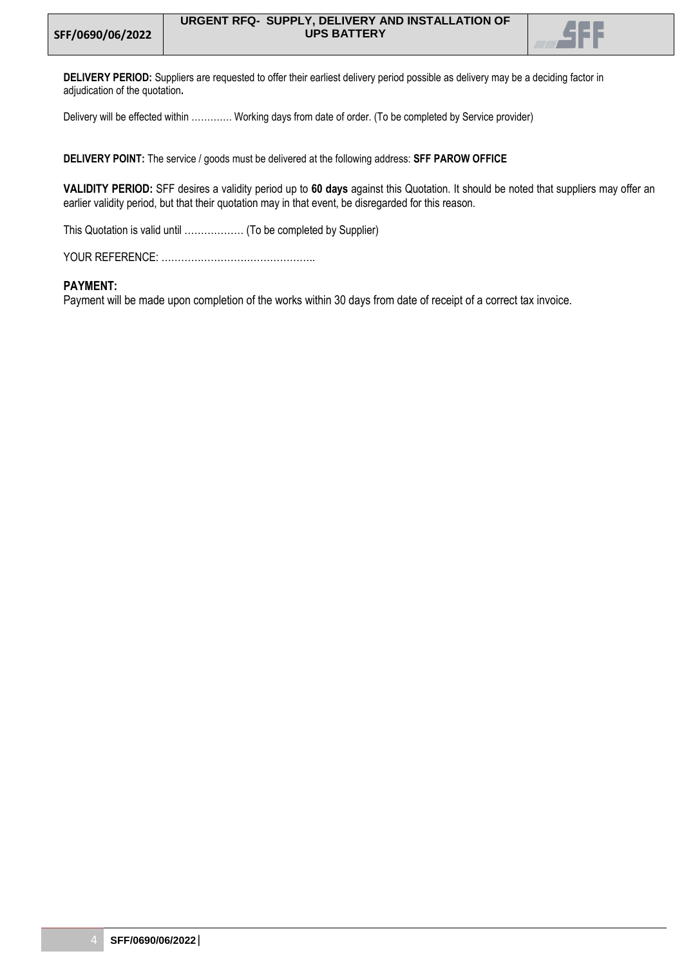

**DELIVERY PERIOD:** Suppliers are requested to offer their earliest delivery period possible as delivery may be a deciding factor in adjudication of the quotation**.** 

Delivery will be effected within …………. Working days from date of order. (To be completed by Service provider)

**DELIVERY POINT:** The service / goods must be delivered at the following address: **SFF PAROW OFFICE**

**VALIDITY PERIOD:** SFF desires a validity period up to **60 days** against this Quotation. It should be noted that suppliers may offer an earlier validity period, but that their quotation may in that event, be disregarded for this reason.

This Quotation is valid until ……………… (To be completed by Supplier)

YOUR REFERENCE: ………………………………………..

#### **PAYMENT:**

Payment will be made upon completion of the works within 30 days from date of receipt of a correct tax invoice.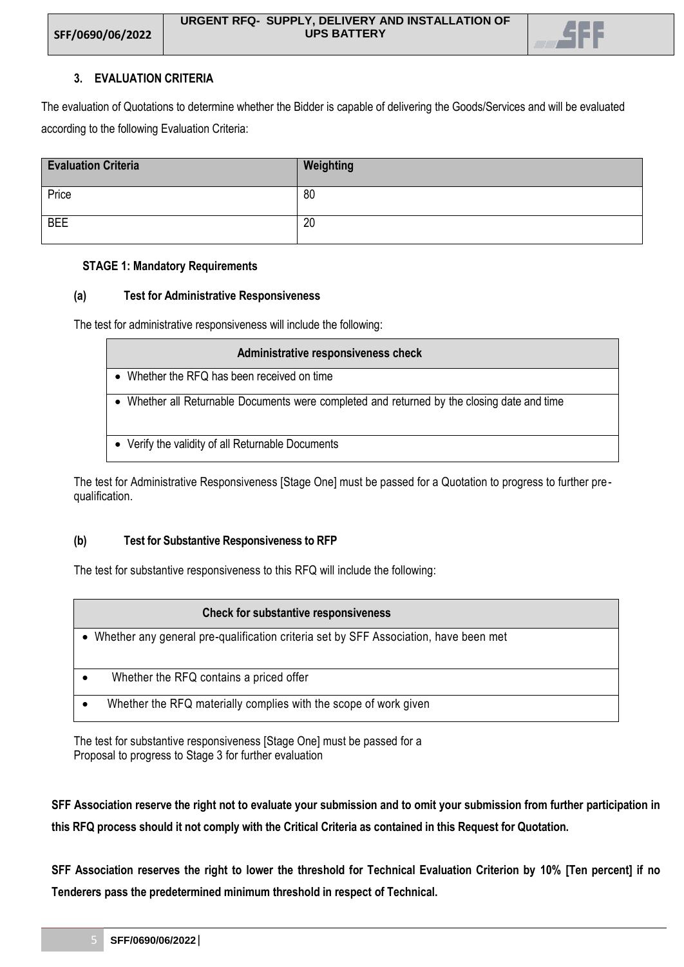

# **3. EVALUATION CRITERIA**

The evaluation of Quotations to determine whether the Bidder is capable of delivering the Goods/Services and will be evaluated according to the following Evaluation Criteria:

| <b>Evaluation Criteria</b> | Weighting |
|----------------------------|-----------|
| Price                      | 80        |
| <b>BEE</b>                 | 20        |

## **STAGE 1: Mandatory Requirements**

## **(a) Test for Administrative Responsiveness**

The test for administrative responsiveness will include the following:

| Administrative responsiveness check                                                       |
|-------------------------------------------------------------------------------------------|
| Whether the RFQ has been received on time                                                 |
| Whether all Returnable Documents were completed and returned by the closing date and time |
| • Verify the validity of all Returnable Documents                                         |

The test for Administrative Responsiveness [Stage One] must be passed for a Quotation to progress to further prequalification.

## **(b) Test for Substantive Responsiveness to RFP**

The test for substantive responsiveness to this RFQ will include the following:

| <b>Check for substantive responsiveness</b>                                            |  |
|----------------------------------------------------------------------------------------|--|
| • Whether any general pre-qualification criteria set by SFF Association, have been met |  |
| Whether the RFQ contains a priced offer                                                |  |
| Whether the RFQ materially complies with the scope of work given                       |  |

The test for substantive responsiveness [Stage One] must be passed for a Proposal to progress to Stage 3 for further evaluation

**SFF Association reserve the right not to evaluate your submission and to omit your submission from further participation in this RFQ process should it not comply with the Critical Criteria as contained in this Request for Quotation.**

**SFF Association reserves the right to lower the threshold for Technical Evaluation Criterion by 10% [Ten percent] if no Tenderers pass the predetermined minimum threshold in respect of Technical.**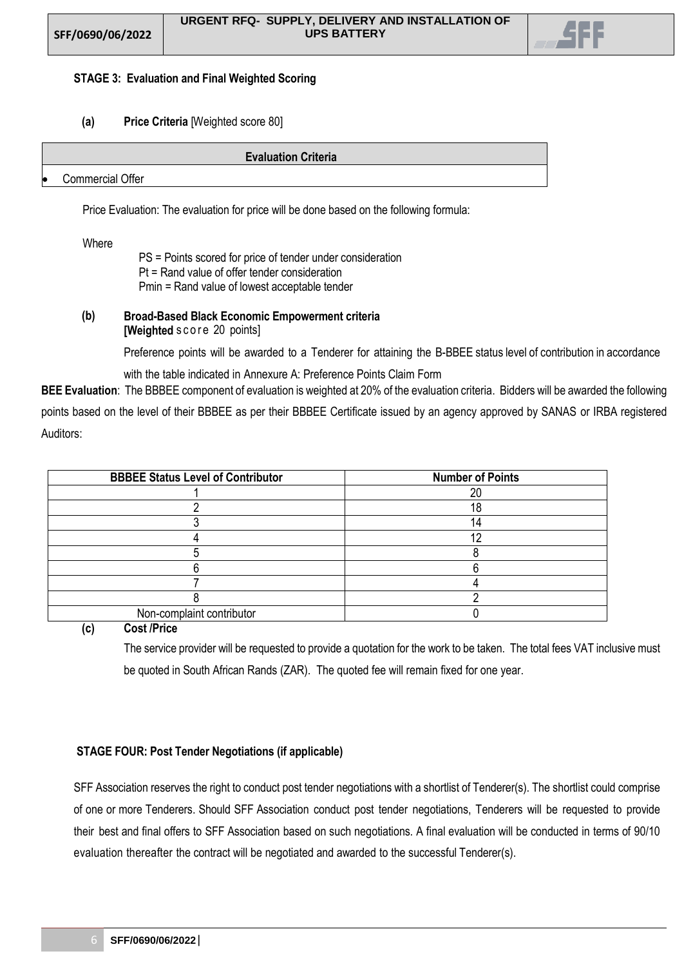

## **STAGE 3: Evaluation and Final Weighted Scoring**

## **(a) Price Criteria** [Weighted score 80]

|    | <b>Evaluation Criteria</b> |
|----|----------------------------|
| lo | Commercial Offer           |

Price Evaluation: The evaluation for price will be done based on the following formula:

### Where

PS = Points scored for price of tender under consideration Pt = Rand value of offer tender consideration Pmin = Rand value of lowest acceptable tender

## **(b) Broad-Based Black Economic Empowerment criteria [Weighted** score 20 points]

Preference points will be awarded to a Tenderer for attaining the B-BBEE status level of contribution in accordance

with the table indicated in Annexure A: Preference Points Claim Form

**BEE Evaluation**: The BBBEE component of evaluation is weighted at 20% of the evaluation criteria. Bidders will be awarded the following points based on the level of their BBBEE as per their BBBEE Certificate issued by an agency approved by SANAS or IRBA registered Auditors:

| <b>BBBEE Status Level of Contributor</b> | <b>Number of Points</b> |
|------------------------------------------|-------------------------|
|                                          | or                      |
|                                          | 1 C                     |
|                                          |                         |
|                                          |                         |
|                                          |                         |
|                                          |                         |
|                                          |                         |
|                                          |                         |
| Non-complaint contributor                |                         |

**(c) Cost /Price**

The service provider will be requested to provide a quotation for the work to be taken. The total fees VAT inclusive must be quoted in South African Rands (ZAR). The quoted fee will remain fixed for one year.

## **STAGE FOUR: Post Tender Negotiations (if applicable)**

SFF Association reserves the right to conduct post tender negotiations with a shortlist of Tenderer(s). The shortlist could comprise of one or more Tenderers. Should SFF Association conduct post tender negotiations, Tenderers will be requested to provide their best and final offers to SFF Association based on such negotiations. A final evaluation will be conducted in terms of 90/10 evaluation thereafter the contract will be negotiated and awarded to the successful Tenderer(s).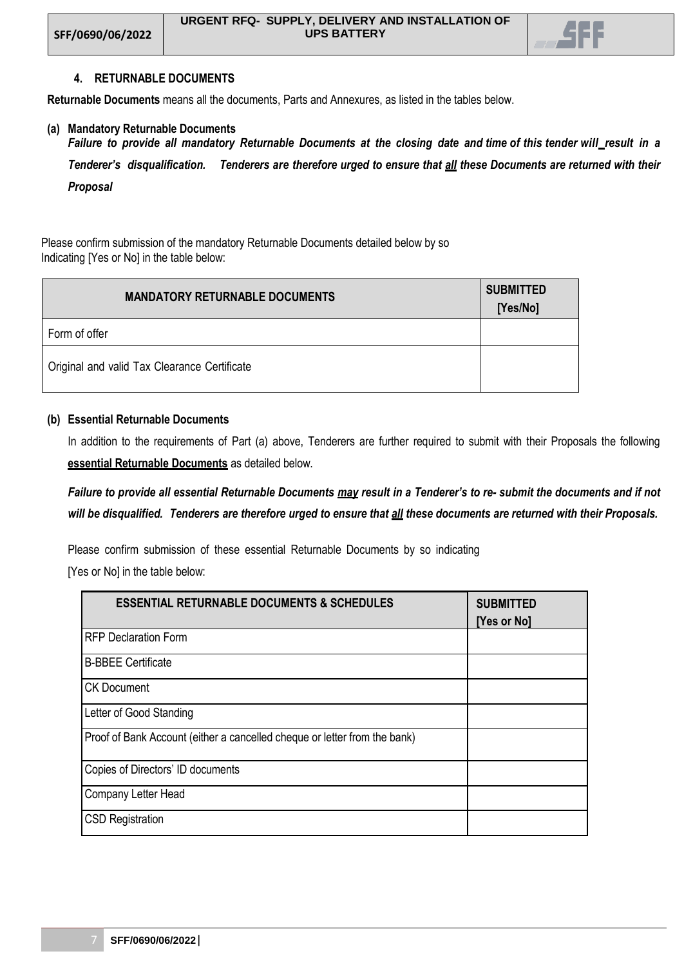

## **4. RETURNABLE DOCUMENTS**

**Returnable Documents** means all the documents, Parts and Annexures, as listed in the tables below.

#### **(a) Mandatory Returnable Documents**

Failure to provide all mandatory Returnable Documents at the closing date and time of this tender will\_result in a *Tenderer's disqualification. Tenderers are therefore urged to ensure that all these Documents are returned with their Proposal*

Please confirm submission of the mandatory Returnable Documents detailed below by so Indicating [Yes or No] in the table below:

| <b>MANDATORY RETURNABLE DOCUMENTS</b>        | <b>SUBMITTED</b><br>[Yes/No] |
|----------------------------------------------|------------------------------|
| Form of offer                                |                              |
| Original and valid Tax Clearance Certificate |                              |

#### **(b) Essential Returnable Documents**

In addition to the requirements of Part (a) above, Tenderers are further required to submit with their Proposals the following **essential Returnable Documents** as detailed below.

*Failure to provide all essential Returnable Documents may result in a Tenderer's to re- submit the documents and if not will be disqualified. Tenderers are therefore urged to ensure that all these documents are returned with their Proposals.*

Please confirm submission of these essential Returnable Documents by so indicating

[Yes or No] in the table below:

| <b>ESSENTIAL RETURNABLE DOCUMENTS &amp; SCHEDULES</b>                     | <b>SUBMITTED</b><br>[Yes or No] |
|---------------------------------------------------------------------------|---------------------------------|
| <b>RFP Declaration Form</b>                                               |                                 |
| <b>B-BBEE Certificate</b>                                                 |                                 |
| <b>CK Document</b>                                                        |                                 |
| Letter of Good Standing                                                   |                                 |
| Proof of Bank Account (either a cancelled cheque or letter from the bank) |                                 |
| Copies of Directors' ID documents                                         |                                 |
| Company Letter Head                                                       |                                 |
| <b>CSD Registration</b>                                                   |                                 |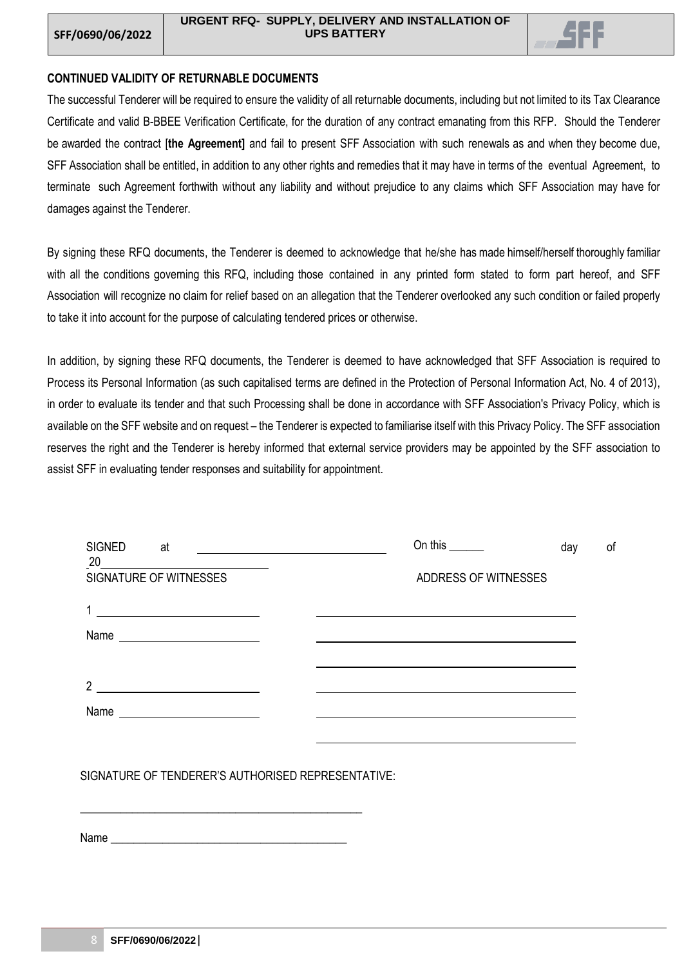

## **CONTINUED VALIDITY OF RETURNABLE DOCUMENTS**

The successful Tenderer will be required to ensure the validity of all returnable documents, including but not limited to its Tax Clearance Certificate and valid B-BBEE Verification Certificate, for the duration of any contract emanating from this RFP. Should the Tenderer be awarded the contract [**the Agreement]** and fail to present SFF Association with such renewals as and when they become due, SFF Association shall be entitled, in addition to any other rights and remedies that it may have in terms of the eventual Agreement, to terminate such Agreement forthwith without any liability and without prejudice to any claims which SFF Association may have for damages against the Tenderer.

By signing these RFQ documents, the Tenderer is deemed to acknowledge that he/she has made himself/herself thoroughly familiar with all the conditions governing this RFQ, including those contained in any printed form stated to form part hereof, and SFF Association will recognize no claim for relief based on an allegation that the Tenderer overlooked any such condition or failed properly to take it into account for the purpose of calculating tendered prices or otherwise.

In addition, by signing these RFQ documents, the Tenderer is deemed to have acknowledged that SFF Association is required to Process its Personal Information (as such capitalised terms are defined in the Protection of Personal Information Act, No. 4 of 2013), in order to evaluate its tender and that such Processing shall be done in accordance with SFF Association's Privacy Policy, which is available on the SFF website and on request – the Tenderer is expected to familiarise itself with this Privacy Policy. The SFF association reserves the right and the Tenderer is hereby informed that external service providers may be appointed by the SFF association to assist SFF in evaluating tender responses and suitability for appointment.

| <b>SIGNED</b><br>at<br>20                                                                                                     | On this $\qquad \qquad$ | day | οf |
|-------------------------------------------------------------------------------------------------------------------------------|-------------------------|-----|----|
| SIGNATURE OF WITNESSES                                                                                                        | ADDRESS OF WITNESSES    |     |    |
| <u> 1989 - Johann Barbara, martin a</u>                                                                                       |                         |     |    |
| Name<br><u> 1986 - Jan Barbarat, politik eta provincia eta provincia eta provincia eta provincia eta provincia eta provin</u> |                         |     |    |
| $\overline{2}$<br><u> 1980 - Johann Barbara, martin a</u>                                                                     |                         |     |    |
| Name<br><u> 1989 - Johann Stoff, Amerikaansk konst</u>                                                                        |                         |     |    |
|                                                                                                                               |                         |     |    |
|                                                                                                                               |                         |     |    |

SIGNATURE OF TENDERER'S AUTHORISED REPRESENTATIVE:

Name

\_\_\_\_\_\_\_\_\_\_\_\_\_\_\_\_\_\_\_\_\_\_\_\_\_\_\_\_\_\_\_\_\_\_\_\_\_\_\_\_\_\_\_\_\_\_\_\_\_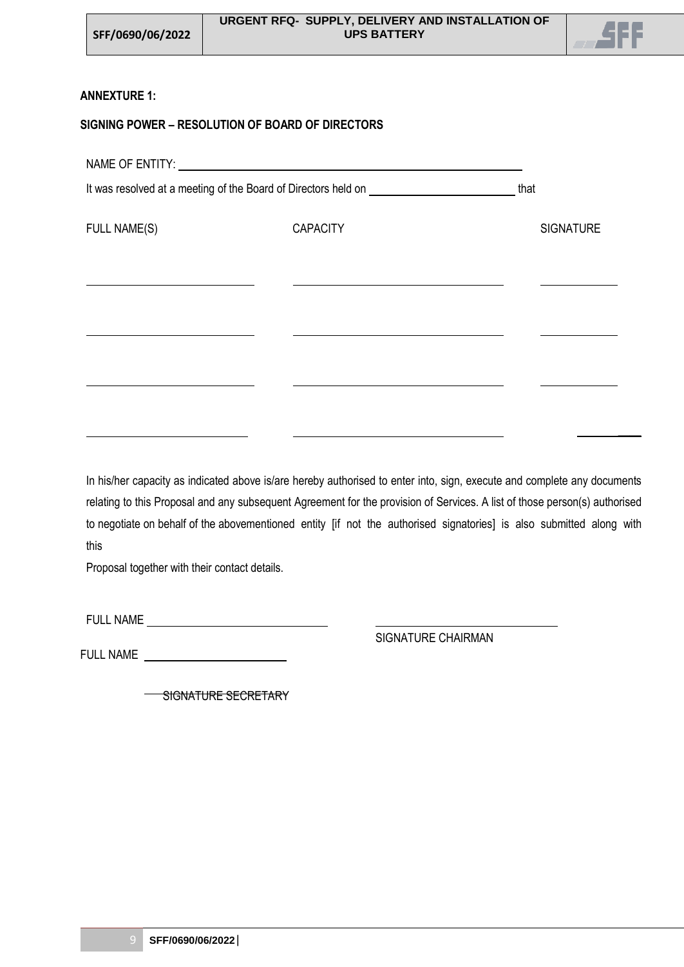

 $\overline{\phantom{a}}$ 

# **ANNEXTURE 1:**

# **SIGNING POWER – RESOLUTION OF BOARD OF DIRECTORS**

| NAME OF ENTITY: NAME OF ENTITY: |                                                                                  |                  |
|---------------------------------|----------------------------------------------------------------------------------|------------------|
|                                 | It was resolved at a meeting of the Board of Directors held on _________________ | that             |
| <b>FULL NAME(S)</b>             | <b>CAPACITY</b>                                                                  | <b>SIGNATURE</b> |
|                                 |                                                                                  |                  |
|                                 |                                                                                  |                  |
|                                 |                                                                                  |                  |
|                                 |                                                                                  |                  |
|                                 |                                                                                  |                  |

In his/her capacity as indicated above is/are hereby authorised to enter into, sign, execute and complete any documents relating to this Proposal and any subsequent Agreement for the provision of Services. A list of those person(s) authorised to negotiate on behalf of the abovementioned entity [if not the authorised signatories] is also submitted along with this

Proposal together with their contact details.

FULL NAME

SIGNATURE CHAIRMAN

FULL NAME

SIGNATURE SECRETARY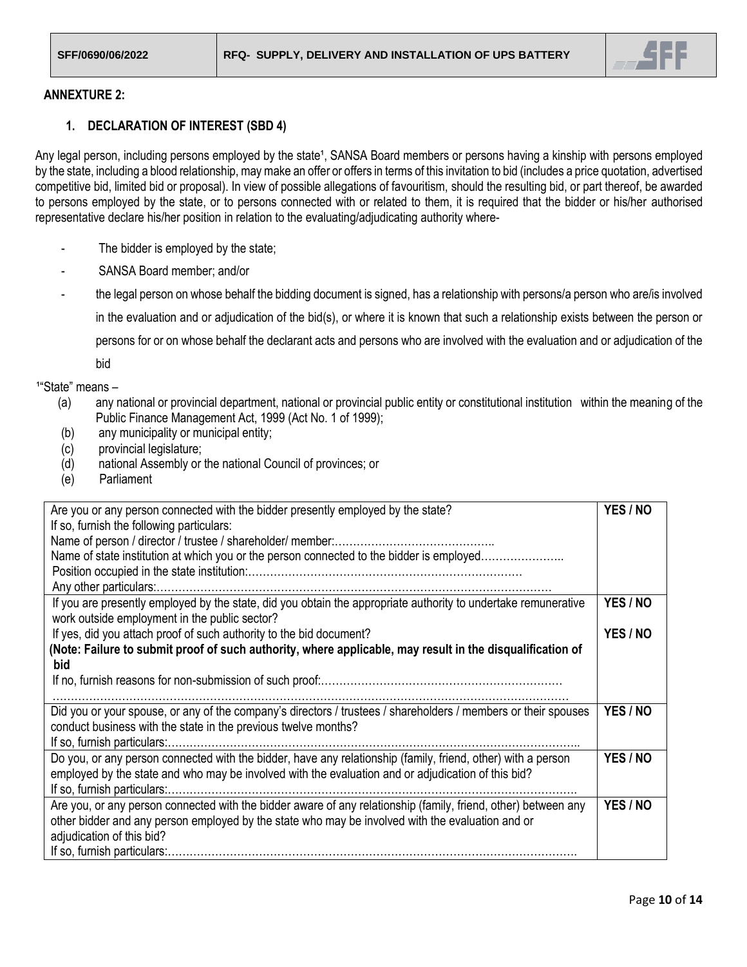

### **ANNEXTURE 2:**

### **1. DECLARATION OF INTEREST (SBD 4)**

Any legal person, including persons employed by the state<sup>1</sup>, SANSA Board members or persons having a kinship with persons employed by the state, including a blood relationship, may make an offer or offers in terms of this invitation to bid (includes a price quotation, advertised competitive bid, limited bid or proposal). In view of possible allegations of favouritism, should the resulting bid, or part thereof, be awarded to persons employed by the state, or to persons connected with or related to them, it is required that the bidder or his/her authorised representative declare his/her position in relation to the evaluating/adjudicating authority where-

- The bidder is employed by the state;
- SANSA Board member; and/or
- the legal person on whose behalf the bidding document is signed, has a relationship with persons/a person who are/is involved in the evaluation and or adjudication of the bid(s), or where it is known that such a relationship exists between the person or persons for or on whose behalf the declarant acts and persons who are involved with the evaluation and or adjudication of the

bid

<sup>1</sup>"State" means -

- (a) any national or provincial department, national or provincial public entity or constitutional institution within the meaning of the Public Finance Management Act, 1999 (Act No. 1 of 1999);
- (b) any municipality or municipal entity;
- (c) provincial legislature;
- (d) national Assembly or the national Council of provinces; or
- (e) Parliament

| Are you or any person connected with the bidder presently employed by the state?                               | YES / NO |
|----------------------------------------------------------------------------------------------------------------|----------|
| If so, furnish the following particulars:                                                                      |          |
| Name of person / director / trustee / shareholder/ member                                                      |          |
| Name of state institution at which you or the person connected to the bidder is employed                       |          |
|                                                                                                                |          |
|                                                                                                                |          |
| If you are presently employed by the state, did you obtain the appropriate authority to undertake remunerative | YES / NO |
| work outside employment in the public sector?                                                                  |          |
| If yes, did you attach proof of such authority to the bid document?                                            | YES / NO |
| (Note: Failure to submit proof of such authority, where applicable, may result in the disqualification of      |          |
| bid                                                                                                            |          |
|                                                                                                                |          |
|                                                                                                                |          |
| Did you or your spouse, or any of the company's directors / trustees / shareholders / members or their spouses | YES / NO |
| conduct business with the state in the previous twelve months?                                                 |          |
|                                                                                                                |          |
| Do you, or any person connected with the bidder, have any relationship (family, friend, other) with a person   | YES / NO |
| employed by the state and who may be involved with the evaluation and or adjudication of this bid?             |          |
|                                                                                                                |          |
| Are you, or any person connected with the bidder aware of any relationship (family, friend, other) between any | YES / NO |
| other bidder and any person employed by the state who may be involved with the evaluation and or               |          |
|                                                                                                                |          |
| adjudication of this bid?                                                                                      |          |
|                                                                                                                |          |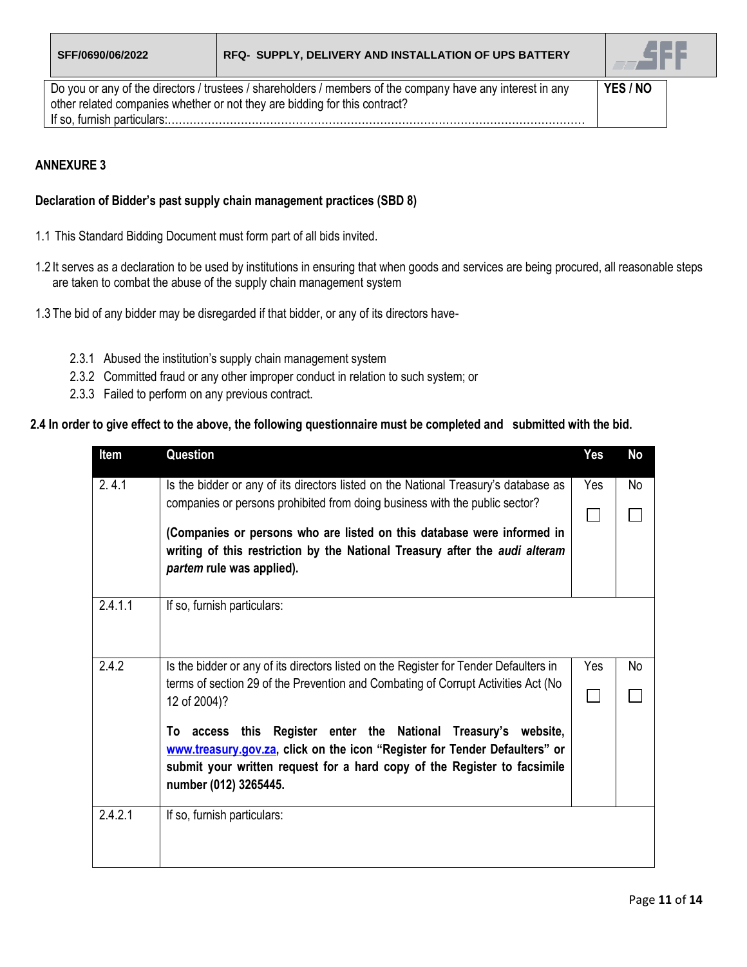

Do you or any of the directors / trustees / shareholders / members of the company have any interest in any other related companies whether or not they are bidding for this contract? If so, furnish particulars:…………………………………………………………………………………………………… **YES / NO**

# **ANNEXURE 3**

## **Declaration of Bidder's past supply chain management practices (SBD 8)**

- 1.1 This Standard Bidding Document must form part of all bids invited.
- 1.2 It serves as a declaration to be used by institutions in ensuring that when goods and services are being procured, all reasonable steps are taken to combat the abuse of the supply chain management system
- 1.3 The bid of any bidder may be disregarded if that bidder, or any of its directors have-
	- 2.3.1 Abused the institution's supply chain management system
	- 2.3.2 Committed fraud or any other improper conduct in relation to such system; or
	- 2.3.3 Failed to perform on any previous contract.

### **2.4 In order to give effect to the above, the following questionnaire must be completed and submitted with the bid.**

| Item    | Question                                                                                                                                                                                                                                          | <b>Yes</b> | No |
|---------|---------------------------------------------------------------------------------------------------------------------------------------------------------------------------------------------------------------------------------------------------|------------|----|
| 2.4.1   | Is the bidder or any of its directors listed on the National Treasury's database as                                                                                                                                                               | Yes        | No |
|         | companies or persons prohibited from doing business with the public sector?                                                                                                                                                                       |            |    |
|         | (Companies or persons who are listed on this database were informed in<br>writing of this restriction by the National Treasury after the audi alteram                                                                                             |            |    |
|         | partem rule was applied).                                                                                                                                                                                                                         |            |    |
|         |                                                                                                                                                                                                                                                   |            |    |
| 2.4.1.1 | If so, furnish particulars:                                                                                                                                                                                                                       |            |    |
| 2.4.2   | Is the bidder or any of its directors listed on the Register for Tender Defaulters in                                                                                                                                                             | Yes        | No |
|         | terms of section 29 of the Prevention and Combating of Corrupt Activities Act (No<br>12 of 2004)?                                                                                                                                                 |            |    |
|         | To access this Register enter the National Treasury's website,<br>www.treasury.gov.za, click on the icon "Register for Tender Defaulters" or<br>submit your written request for a hard copy of the Register to facsimile<br>number (012) 3265445. |            |    |
| 2.4.2.1 | If so, furnish particulars:                                                                                                                                                                                                                       |            |    |
|         |                                                                                                                                                                                                                                                   |            |    |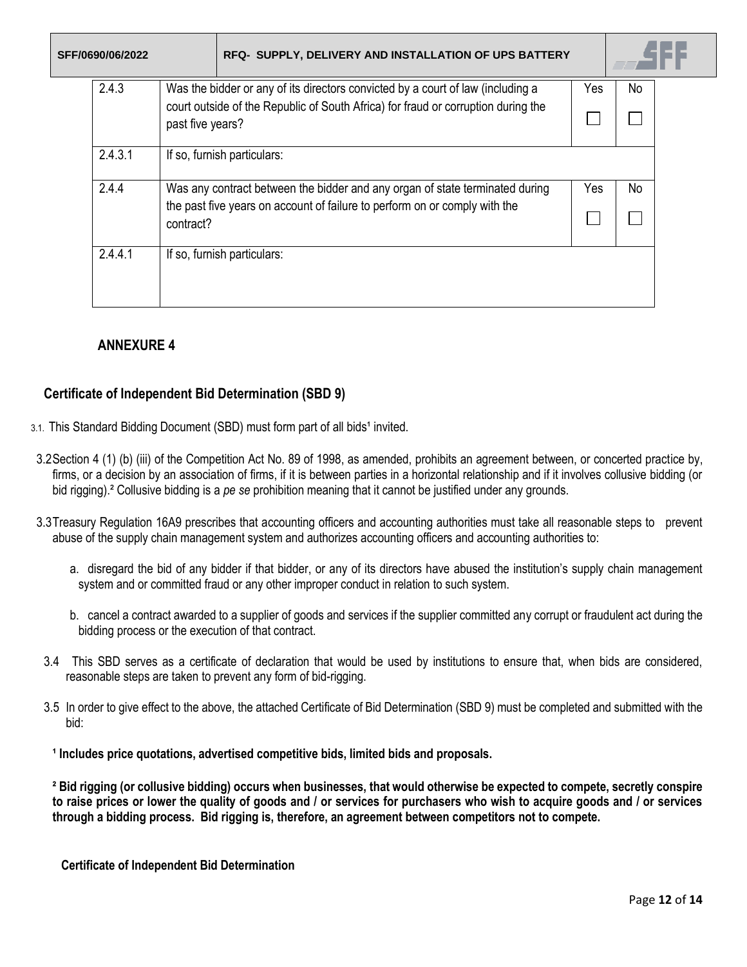| SFF/0690/06/2022 | RFQ- SUPPLY, DELIVERY AND INSTALLATION OF UPS BATTERY                                                 |     |     |
|------------------|-------------------------------------------------------------------------------------------------------|-----|-----|
| 2.4.3            | Was the bidder or any of its directors convicted by a court of law (including a                       | Yes | No  |
|                  | court outside of the Republic of South Africa) for fraud or corruption during the<br>past five years? |     |     |
| 2.4.3.1          | If so, furnish particulars:                                                                           |     |     |
| 2.4.4            | Was any contract between the bidder and any organ of state terminated during                          | Yes | No. |
|                  | the past five years on account of failure to perform on or comply with the<br>contract?               |     |     |
| 2.4.4.1          | If so, furnish particulars:                                                                           |     |     |
|                  |                                                                                                       |     |     |

# **ANNEXURE 4**

# **Certificate of Independent Bid Determination (SBD 9)**

- 3.1. This Standard Bidding Document (SBD) must form part of all bids<sup>1</sup> invited.
- 3.2Section 4 (1) (b) (iii) of the Competition Act No. 89 of 1998, as amended, prohibits an agreement between, or concerted practice by, firms, or a decision by an association of firms, if it is between parties in a horizontal relationship and if it involves collusive bidding (or bid rigging).² Collusive bidding is a *pe se* prohibition meaning that it cannot be justified under any grounds.
- 3.3Treasury Regulation 16A9 prescribes that accounting officers and accounting authorities must take all reasonable steps to prevent abuse of the supply chain management system and authorizes accounting officers and accounting authorities to:
	- a. disregard the bid of any bidder if that bidder, or any of its directors have abused the institution's supply chain management system and or committed fraud or any other improper conduct in relation to such system.
	- b. cancel a contract awarded to a supplier of goods and services if the supplier committed any corrupt or fraudulent act during the bidding process or the execution of that contract.
- 3.4 This SBD serves as a certificate of declaration that would be used by institutions to ensure that, when bids are considered, reasonable steps are taken to prevent any form of bid-rigging.
- 3.5 In order to give effect to the above, the attached Certificate of Bid Determination (SBD 9) must be completed and submitted with the bid:
	- **¹ Includes price quotations, advertised competitive bids, limited bids and proposals.**

**² Bid rigging (or collusive bidding) occurs when businesses, that would otherwise be expected to compete, secretly conspire to raise prices or lower the quality of goods and / or services for purchasers who wish to acquire goods and / or services through a bidding process. Bid rigging is, therefore, an agreement between competitors not to compete.**

**Certificate of Independent Bid Determination**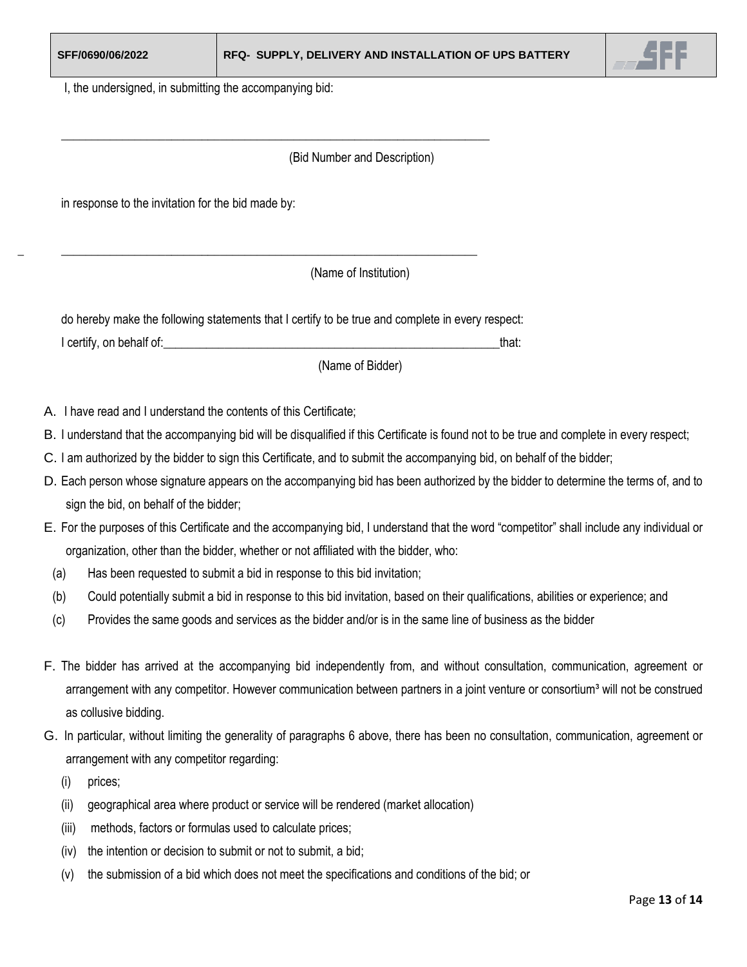

I, the undersigned, in submitting the accompanying bid:

### (Bid Number and Description)

in response to the invitation for the bid made by:

(Name of Institution)

do hereby make the following statements that I certify to be true and complete in every respect: I certify, on behalf of:\_\_\_\_\_\_\_\_\_\_\_\_\_\_\_\_\_\_\_\_\_\_\_\_\_\_\_\_\_\_\_\_\_\_\_\_\_\_\_\_\_\_\_\_\_\_\_\_\_\_\_\_\_\_\_that:

\_\_\_\_\_\_\_\_\_\_\_\_\_\_\_\_\_\_\_\_\_\_\_\_\_\_\_\_\_\_\_\_\_\_\_\_\_\_\_\_\_\_\_\_\_\_\_\_\_\_\_\_\_\_\_\_\_\_\_\_\_\_\_\_\_\_\_\_\_\_

 $\mathcal{L} = \{ \mathcal{L} = \{ \mathcal{L} = \{ \mathcal{L} = \mathcal{L} \} \mid \mathcal{L} = \{ \mathcal{L} = \{ \mathcal{L} = \mathcal{L} \} \mid \mathcal{L} = \{ \mathcal{L} = \{ \mathcal{L} = \mathcal{L} \} \mid \mathcal{L} = \{ \mathcal{L} = \{ \mathcal{L} = \mathcal{L} \} \mid \mathcal{L} = \{ \mathcal{L} = \{ \mathcal{L} = \mathcal{L} \} \mid \mathcal{L} = \{ \mathcal{L} = \{ \mathcal{L} = \mathcal{L} \} \mid \$ 

(Name of Bidder)

- A. I have read and I understand the contents of this Certificate;
- B. I understand that the accompanying bid will be disqualified if this Certificate is found not to be true and complete in every respect;
- C. I am authorized by the bidder to sign this Certificate, and to submit the accompanying bid, on behalf of the bidder;
- D. Each person whose signature appears on the accompanying bid has been authorized by the bidder to determine the terms of, and to sign the bid, on behalf of the bidder;
- E. For the purposes of this Certificate and the accompanying bid, I understand that the word "competitor" shall include any individual or organization, other than the bidder, whether or not affiliated with the bidder, who:
- (a) Has been requested to submit a bid in response to this bid invitation;
- (b) Could potentially submit a bid in response to this bid invitation, based on their qualifications, abilities or experience; and
- (c) Provides the same goods and services as the bidder and/or is in the same line of business as the bidder
- F. The bidder has arrived at the accompanying bid independently from, and without consultation, communication, agreement or arrangement with any competitor. However communication between partners in a joint venture or consortium<sup>3</sup> will not be construed as collusive bidding.
- G. In particular, without limiting the generality of paragraphs 6 above, there has been no consultation, communication, agreement or arrangement with any competitor regarding:
	- (i) prices;
	- (ii) geographical area where product or service will be rendered (market allocation)
	- (iii) methods, factors or formulas used to calculate prices;
	- (iv) the intention or decision to submit or not to submit, a bid;
	- (v) the submission of a bid which does not meet the specifications and conditions of the bid; or